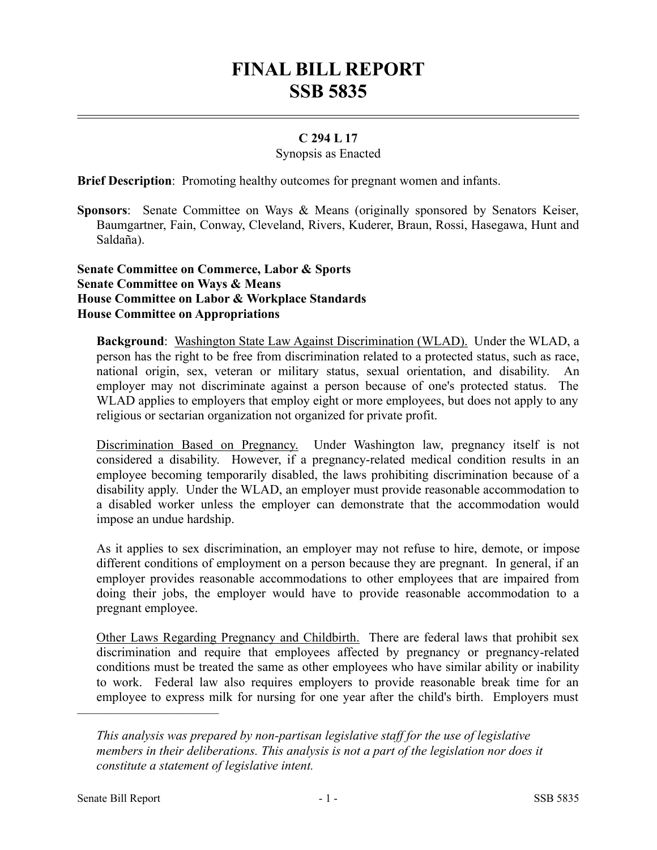# **FINAL BILL REPORT SSB 5835**

## **C 294 L 17**

#### Synopsis as Enacted

**Brief Description**: Promoting healthy outcomes for pregnant women and infants.

**Sponsors**: Senate Committee on Ways & Means (originally sponsored by Senators Keiser, Baumgartner, Fain, Conway, Cleveland, Rivers, Kuderer, Braun, Rossi, Hasegawa, Hunt and Saldaña).

#### **Senate Committee on Commerce, Labor & Sports Senate Committee on Ways & Means House Committee on Labor & Workplace Standards House Committee on Appropriations**

**Background**: Washington State Law Against Discrimination (WLAD). Under the WLAD, a person has the right to be free from discrimination related to a protected status, such as race, national origin, sex, veteran or military status, sexual orientation, and disability. An employer may not discriminate against a person because of one's protected status. The WLAD applies to employers that employ eight or more employees, but does not apply to any religious or sectarian organization not organized for private profit.

Discrimination Based on Pregnancy. Under Washington law, pregnancy itself is not considered a disability. However, if a pregnancy-related medical condition results in an employee becoming temporarily disabled, the laws prohibiting discrimination because of a disability apply. Under the WLAD, an employer must provide reasonable accommodation to a disabled worker unless the employer can demonstrate that the accommodation would impose an undue hardship.

As it applies to sex discrimination, an employer may not refuse to hire, demote, or impose different conditions of employment on a person because they are pregnant. In general, if an employer provides reasonable accommodations to other employees that are impaired from doing their jobs, the employer would have to provide reasonable accommodation to a pregnant employee.

Other Laws Regarding Pregnancy and Childbirth. There are federal laws that prohibit sex discrimination and require that employees affected by pregnancy or pregnancy-related conditions must be treated the same as other employees who have similar ability or inability to work. Federal law also requires employers to provide reasonable break time for an employee to express milk for nursing for one year after the child's birth. Employers must

––––––––––––––––––––––

*This analysis was prepared by non-partisan legislative staff for the use of legislative members in their deliberations. This analysis is not a part of the legislation nor does it constitute a statement of legislative intent.*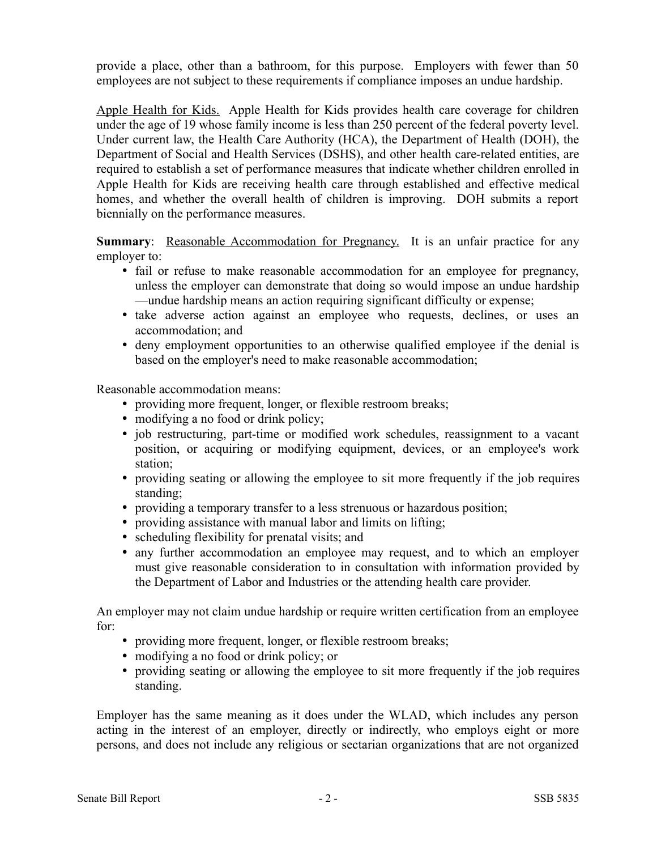provide a place, other than a bathroom, for this purpose. Employers with fewer than 50 employees are not subject to these requirements if compliance imposes an undue hardship.

Apple Health for Kids. Apple Health for Kids provides health care coverage for children under the age of 19 whose family income is less than 250 percent of the federal poverty level. Under current law, the Health Care Authority (HCA), the Department of Health (DOH), the Department of Social and Health Services (DSHS), and other health care-related entities, are required to establish a set of performance measures that indicate whether children enrolled in Apple Health for Kids are receiving health care through established and effective medical homes, and whether the overall health of children is improving. DOH submits a report biennially on the performance measures.

**Summary:** Reasonable Accommodation for Pregnancy. It is an unfair practice for any employer to:

- fail or refuse to make reasonable accommodation for an employee for pregnancy, unless the employer can demonstrate that doing so would impose an undue hardship —undue hardship means an action requiring significant difficulty or expense;
- take adverse action against an employee who requests, declines, or uses an accommodation; and
- deny employment opportunities to an otherwise qualified employee if the denial is based on the employer's need to make reasonable accommodation;

Reasonable accommodation means:

- providing more frequent, longer, or flexible restroom breaks;
- modifying a no food or drink policy;
- job restructuring, part-time or modified work schedules, reassignment to a vacant position, or acquiring or modifying equipment, devices, or an employee's work station;
- providing seating or allowing the employee to sit more frequently if the job requires standing;
- providing a temporary transfer to a less strenuous or hazardous position;
- providing assistance with manual labor and limits on lifting;
- scheduling flexibility for prenatal visits; and
- any further accommodation an employee may request, and to which an employer must give reasonable consideration to in consultation with information provided by the Department of Labor and Industries or the attending health care provider.

An employer may not claim undue hardship or require written certification from an employee for:

- providing more frequent, longer, or flexible restroom breaks;
- modifying a no food or drink policy; or
- providing seating or allowing the employee to sit more frequently if the job requires standing.

Employer has the same meaning as it does under the WLAD, which includes any person acting in the interest of an employer, directly or indirectly, who employs eight or more persons, and does not include any religious or sectarian organizations that are not organized